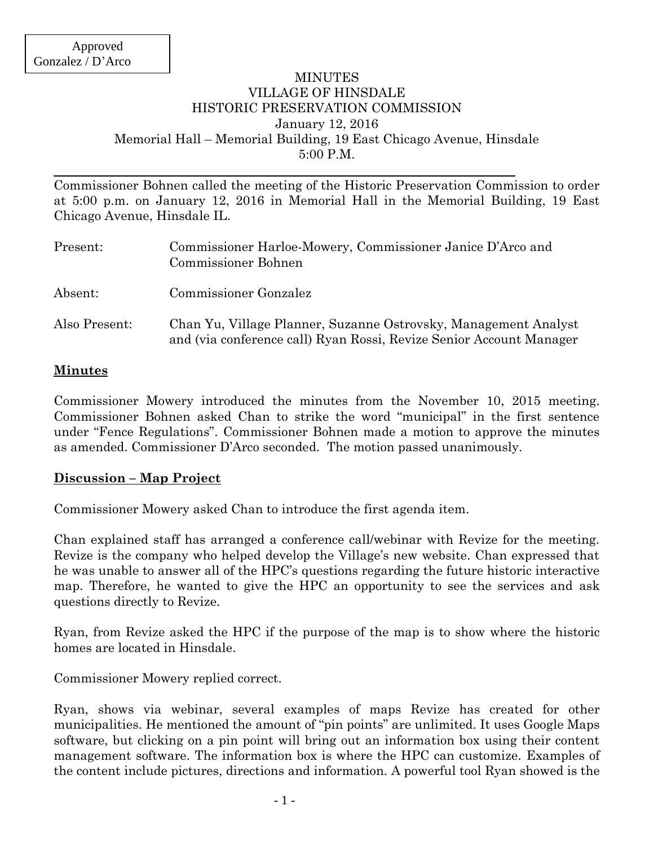### MINUTES VILLAGE OF HINSDALE HISTORIC PRESERVATION COMMISSION January 12, 2016 Memorial Hall – Memorial Building, 19 East Chicago Avenue, Hinsdale 5:00 P.M.

Commissioner Bohnen called the meeting of the Historic Preservation Commission to order at 5:00 p.m. on January 12, 2016 in Memorial Hall in the Memorial Building, 19 East Chicago Avenue, Hinsdale IL.

| Present:      | Commissioner Harloe-Mowery, Commissioner Janice D'Arco and<br><b>Commissioner Bohnen</b>                                               |
|---------------|----------------------------------------------------------------------------------------------------------------------------------------|
| Absent:       | <b>Commissioner Gonzalez</b>                                                                                                           |
| Also Present: | Chan Yu, Village Planner, Suzanne Ostrovsky, Management Analyst<br>and (via conference call) Ryan Rossi, Revize Senior Account Manager |

#### **Minutes**

Commissioner Mowery introduced the minutes from the November 10, 2015 meeting. Commissioner Bohnen asked Chan to strike the word "municipal" in the first sentence under "Fence Regulations". Commissioner Bohnen made a motion to approve the minutes as amended. Commissioner D'Arco seconded. The motion passed unanimously.

#### **Discussion – Map Project**

Commissioner Mowery asked Chan to introduce the first agenda item.

Chan explained staff has arranged a conference call/webinar with Revize for the meeting. Revize is the company who helped develop the Village's new website. Chan expressed that he was unable to answer all of the HPC's questions regarding the future historic interactive map. Therefore, he wanted to give the HPC an opportunity to see the services and ask questions directly to Revize.

Ryan, from Revize asked the HPC if the purpose of the map is to show where the historic homes are located in Hinsdale.

Commissioner Mowery replied correct.

Ryan, shows via webinar, several examples of maps Revize has created for other municipalities. He mentioned the amount of "pin points" are unlimited. It uses Google Maps software, but clicking on a pin point will bring out an information box using their content management software. The information box is where the HPC can customize. Examples of the content include pictures, directions and information. A powerful tool Ryan showed is the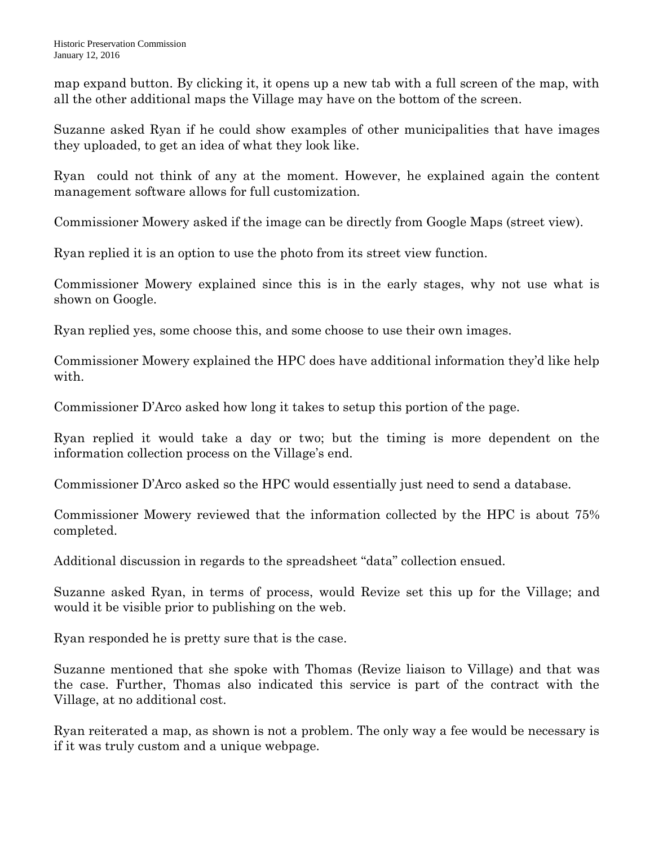map expand button. By clicking it, it opens up a new tab with a full screen of the map, with all the other additional maps the Village may have on the bottom of the screen.

Suzanne asked Ryan if he could show examples of other municipalities that have images they uploaded, to get an idea of what they look like.

Ryan could not think of any at the moment. However, he explained again the content management software allows for full customization.

Commissioner Mowery asked if the image can be directly from Google Maps (street view).

Ryan replied it is an option to use the photo from its street view function.

Commissioner Mowery explained since this is in the early stages, why not use what is shown on Google.

Ryan replied yes, some choose this, and some choose to use their own images.

Commissioner Mowery explained the HPC does have additional information they'd like help with.

Commissioner D'Arco asked how long it takes to setup this portion of the page.

Ryan replied it would take a day or two; but the timing is more dependent on the information collection process on the Village's end.

Commissioner D'Arco asked so the HPC would essentially just need to send a database.

Commissioner Mowery reviewed that the information collected by the HPC is about 75% completed.

Additional discussion in regards to the spreadsheet "data" collection ensued.

Suzanne asked Ryan, in terms of process, would Revize set this up for the Village; and would it be visible prior to publishing on the web.

Ryan responded he is pretty sure that is the case.

Suzanne mentioned that she spoke with Thomas (Revize liaison to Village) and that was the case. Further, Thomas also indicated this service is part of the contract with the Village, at no additional cost.

Ryan reiterated a map, as shown is not a problem. The only way a fee would be necessary is if it was truly custom and a unique webpage.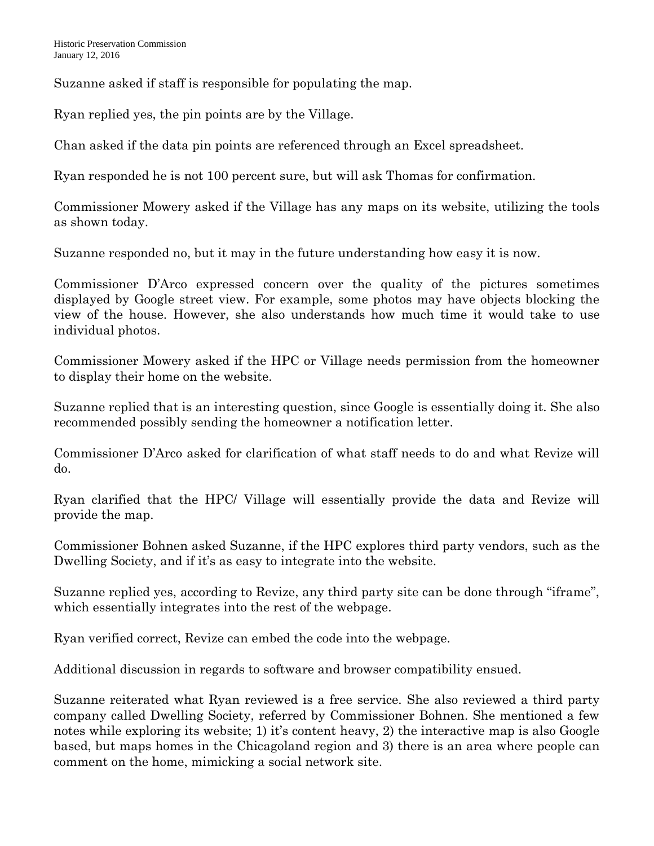Suzanne asked if staff is responsible for populating the map.

Ryan replied yes, the pin points are by the Village.

Chan asked if the data pin points are referenced through an Excel spreadsheet.

Ryan responded he is not 100 percent sure, but will ask Thomas for confirmation.

Commissioner Mowery asked if the Village has any maps on its website, utilizing the tools as shown today.

Suzanne responded no, but it may in the future understanding how easy it is now.

Commissioner D'Arco expressed concern over the quality of the pictures sometimes displayed by Google street view. For example, some photos may have objects blocking the view of the house. However, she also understands how much time it would take to use individual photos.

Commissioner Mowery asked if the HPC or Village needs permission from the homeowner to display their home on the website.

Suzanne replied that is an interesting question, since Google is essentially doing it. She also recommended possibly sending the homeowner a notification letter.

Commissioner D'Arco asked for clarification of what staff needs to do and what Revize will do.

Ryan clarified that the HPC/ Village will essentially provide the data and Revize will provide the map.

Commissioner Bohnen asked Suzanne, if the HPC explores third party vendors, such as the Dwelling Society, and if it's as easy to integrate into the website.

Suzanne replied yes, according to Revize, any third party site can be done through "iframe", which essentially integrates into the rest of the webpage.

Ryan verified correct, Revize can embed the code into the webpage.

Additional discussion in regards to software and browser compatibility ensued.

Suzanne reiterated what Ryan reviewed is a free service. She also reviewed a third party company called Dwelling Society, referred by Commissioner Bohnen. She mentioned a few notes while exploring its website; 1) it's content heavy, 2) the interactive map is also Google based, but maps homes in the Chicagoland region and 3) there is an area where people can comment on the home, mimicking a social network site.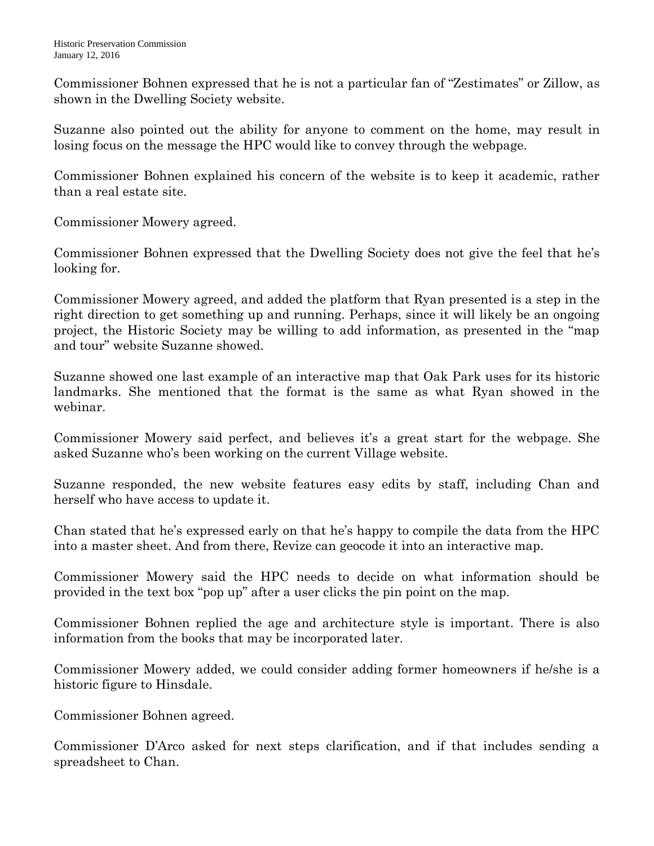Commissioner Bohnen expressed that he is not a particular fan of "Zestimates" or Zillow, as shown in the Dwelling Society website.

Suzanne also pointed out the ability for anyone to comment on the home, may result in losing focus on the message the HPC would like to convey through the webpage.

Commissioner Bohnen explained his concern of the website is to keep it academic, rather than a real estate site.

Commissioner Mowery agreed.

Commissioner Bohnen expressed that the Dwelling Society does not give the feel that he's looking for.

Commissioner Mowery agreed, and added the platform that Ryan presented is a step in the right direction to get something up and running. Perhaps, since it will likely be an ongoing project, the Historic Society may be willing to add information, as presented in the "map and tour" website Suzanne showed.

Suzanne showed one last example of an interactive map that Oak Park uses for its historic landmarks. She mentioned that the format is the same as what Ryan showed in the webinar.

Commissioner Mowery said perfect, and believes it's a great start for the webpage. She asked Suzanne who's been working on the current Village website.

Suzanne responded, the new website features easy edits by staff, including Chan and herself who have access to update it.

Chan stated that he's expressed early on that he's happy to compile the data from the HPC into a master sheet. And from there, Revize can geocode it into an interactive map.

Commissioner Mowery said the HPC needs to decide on what information should be provided in the text box "pop up" after a user clicks the pin point on the map.

Commissioner Bohnen replied the age and architecture style is important. There is also information from the books that may be incorporated later.

Commissioner Mowery added, we could consider adding former homeowners if he/she is a historic figure to Hinsdale.

Commissioner Bohnen agreed.

Commissioner D'Arco asked for next steps clarification, and if that includes sending a spreadsheet to Chan.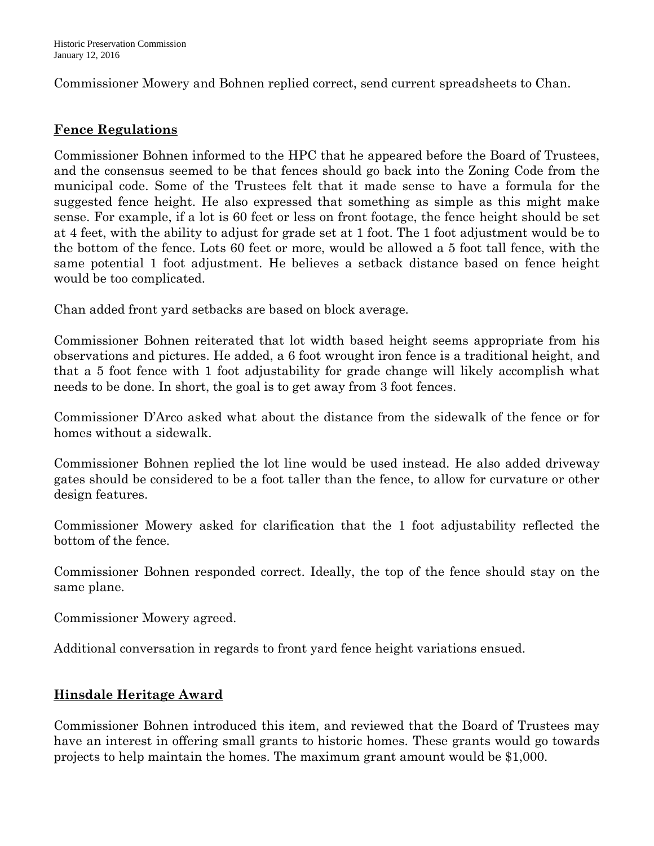Commissioner Mowery and Bohnen replied correct, send current spreadsheets to Chan.

# **Fence Regulations**

Commissioner Bohnen informed to the HPC that he appeared before the Board of Trustees, and the consensus seemed to be that fences should go back into the Zoning Code from the municipal code. Some of the Trustees felt that it made sense to have a formula for the suggested fence height. He also expressed that something as simple as this might make sense. For example, if a lot is 60 feet or less on front footage, the fence height should be set at 4 feet, with the ability to adjust for grade set at 1 foot. The 1 foot adjustment would be to the bottom of the fence. Lots 60 feet or more, would be allowed a 5 foot tall fence, with the same potential 1 foot adjustment. He believes a setback distance based on fence height would be too complicated.

Chan added front yard setbacks are based on block average.

Commissioner Bohnen reiterated that lot width based height seems appropriate from his observations and pictures. He added, a 6 foot wrought iron fence is a traditional height, and that a 5 foot fence with 1 foot adjustability for grade change will likely accomplish what needs to be done. In short, the goal is to get away from 3 foot fences.

Commissioner D'Arco asked what about the distance from the sidewalk of the fence or for homes without a sidewalk.

Commissioner Bohnen replied the lot line would be used instead. He also added driveway gates should be considered to be a foot taller than the fence, to allow for curvature or other design features.

Commissioner Mowery asked for clarification that the 1 foot adjustability reflected the bottom of the fence.

Commissioner Bohnen responded correct. Ideally, the top of the fence should stay on the same plane.

Commissioner Mowery agreed.

Additional conversation in regards to front yard fence height variations ensued.

# **Hinsdale Heritage Award**

Commissioner Bohnen introduced this item, and reviewed that the Board of Trustees may have an interest in offering small grants to historic homes. These grants would go towards projects to help maintain the homes. The maximum grant amount would be \$1,000.